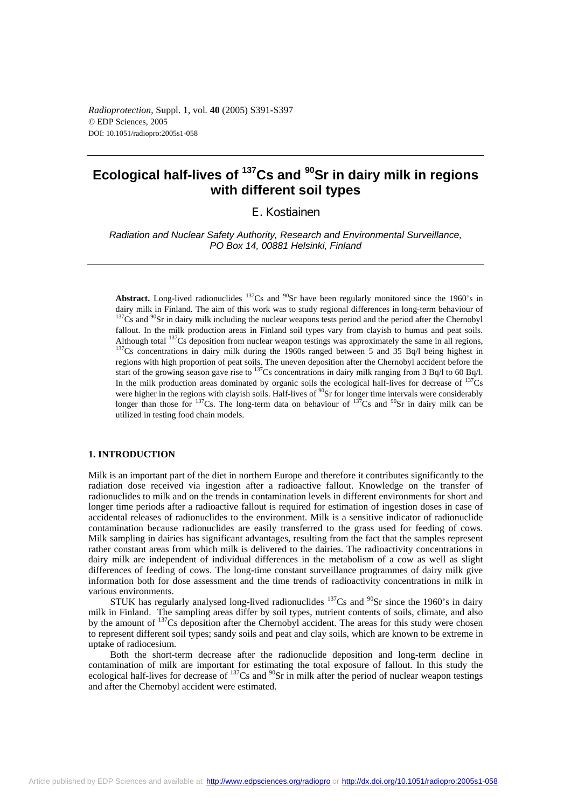*Radioprotection*, Suppl. 1, vol*.* **40** (2005) S391-S397 © EDP Sciences, 2005 DOI: 10.1051/radiopro:2005s1-058

# **Ecological half-lives of 137Cs and 90Sr in dairy milk in regions with different soil types**

E. Kostiainen

*Radiation and Nuclear Safety Authority, Research and Environmental Surveillance, PO Box 14, 00881 Helsinki, Finland* 

**Abstract.** Long-lived radionuclides  $137Cs$  and  $90Sr$  have been regularly monitored since the 1960's in dairy milk in Finland. The aim of this work was to study regional differences in long-term behaviour of  $137$ Cs and  $90$ Sr in dairy milk including the nuclear weapons tests period and the period after the Chernobyl fallout. In the milk production areas in Finland soil types vary from clayish to humus and peat soils. Although total  $^{137}Cs$  deposition from nuclear weapon testings was approximately the same in all regions,  $^{137}Cs$  concentrations in dairy milk during the 1960s ranged between 5 and 35 Bq/l being highest in regions with high proportion of peat soils. The uneven deposition after the Chernobyl accident before the start of the growing season gave rise to  $^{137}$ Cs concentrations in dairy milk ranging from 3 Bq/l to 60 Bq/l. In the milk production areas dominated by organic soils the ecological half-lives for decrease of  $137Cs$ were higher in the regions with clayish soils. Half-lives of <sup>90</sup>Sr for longer time intervals were considerably longer than those for  $137Cs$ . The long-term data on behaviour of  $137Cs$  and  $90Sr$  in dairy milk can be utilized in testing food chain models.

## **1. INTRODUCTION**

Milk is an important part of the diet in northern Europe and therefore it contributes significantly to the radiation dose received via ingestion after a radioactive fallout. Knowledge on the transfer of radionuclides to milk and on the trends in contamination levels in different environments for short and longer time periods after a radioactive fallout is required for estimation of ingestion doses in case of accidental releases of radionuclides to the environment. Milk is a sensitive indicator of radionuclide contamination because radionuclides are easily transferred to the grass used for feeding of cows. Milk sampling in dairies has significant advantages, resulting from the fact that the samples represent rather constant areas from which milk is delivered to the dairies. The radioactivity concentrations in dairy milk are independent of individual differences in the metabolism of a cow as well as slight differences of feeding of cows. The long-time constant surveillance programmes of dairy milk give information both for dose assessment and the time trends of radioactivity concentrations in milk in various environments.

STUK has regularly analysed long-lived radionuclides  $137$ Cs and  $90$ Sr since the 1960's in dairy milk in Finland. The sampling areas differ by soil types, nutrient contents of soils, climate, and also by the amount of <sup>137</sup>Cs deposition after the Chernobyl accident. The areas for this study were chosen to represent different soil types; sandy soils and peat and clay soils, which are known to be extreme in uptake of radiocesium.

Both the short-term decrease after the radionuclide deposition and long-term decline in contamination of milk are important for estimating the total exposure of fallout. In this study the ecological half-lives for decrease of <sup>137</sup>Cs and <sup>90</sup>Sr in milk after the period of nuclear weapon testings and after the Chernobyl accident were estimated.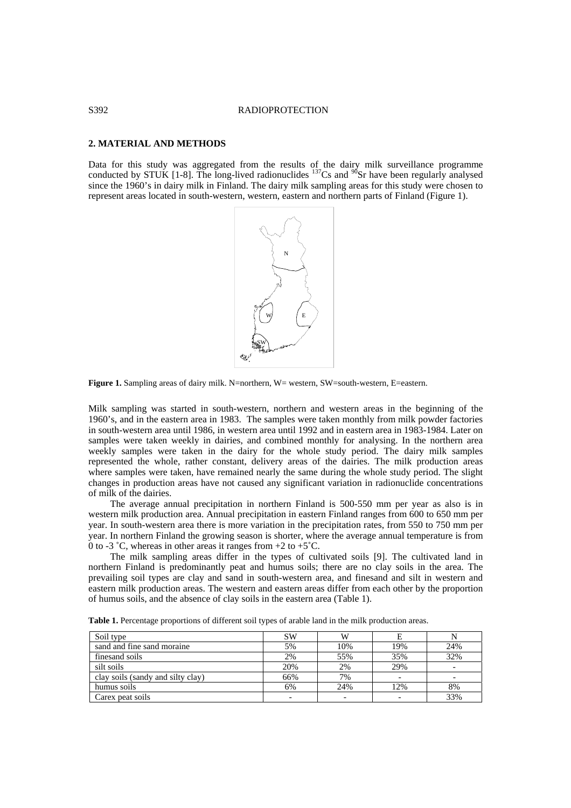## S392 RADIOPROTECTION

## **2. MATERIAL AND METHODS**

Data for this study was aggregated from the results of the dairy milk surveillance programme conducted by STUK [1-8]. The long-lived radionuclides <sup>137</sup>Cs and <sup>90</sup>Sr have been regularly analysed since the 1960's in dairy milk in Finland. The dairy milk sampling areas for this study were chosen to represent areas located in south-western, western, eastern and northern parts of Finland (Figure 1).



**Figure 1.** Sampling areas of dairy milk. N=northern, W= western, SW=south-western, E=eastern.

Milk sampling was started in south-western, northern and western areas in the beginning of the 1960's, and in the eastern area in 1983. The samples were taken monthly from milk powder factories in south-western area until 1986, in western area until 1992 and in eastern area in 1983-1984. Later on samples were taken weekly in dairies, and combined monthly for analysing. In the northern area weekly samples were taken in the dairy for the whole study period. The dairy milk samples represented the whole, rather constant, delivery areas of the dairies. The milk production areas where samples were taken, have remained nearly the same during the whole study period. The slight changes in production areas have not caused any significant variation in radionuclide concentrations of milk of the dairies.

The average annual precipitation in northern Finland is 500-550 mm per year as also is in western milk production area. Annual precipitation in eastern Finland ranges from 600 to 650 mm per year. In south-western area there is more variation in the precipitation rates, from 550 to 750 mm per year. In northern Finland the growing season is shorter, where the average annual temperature is from 0 to -3 °C, whereas in other areas it ranges from  $+2$  to  $+5$ °C.

The milk sampling areas differ in the types of cultivated soils [9]. The cultivated land in northern Finland is predominantly peat and humus soils; there are no clay soils in the area. The prevailing soil types are clay and sand in south-western area, and finesand and silt in western and eastern milk production areas. The western and eastern areas differ from each other by the proportion of humus soils, and the absence of clay soils in the eastern area (Table 1).

| Soil type                         | SW  | W   |     |     |
|-----------------------------------|-----|-----|-----|-----|
| sand and fine sand moraine        | 5%  | 10% | 19% | 24% |
| finesand soils                    | 2%  | 55% | 35% | 32% |
| silt soils                        | 20% | 2%  | 29% |     |
| clay soils (sandy and silty clay) | 66% | 7%  |     |     |
| humus soils                       | 6%  | 24% | 12% | 8%  |
| Carex peat soils                  |     |     |     | 33% |

**Table 1.** Percentage proportions of different soil types of arable land in the milk production areas.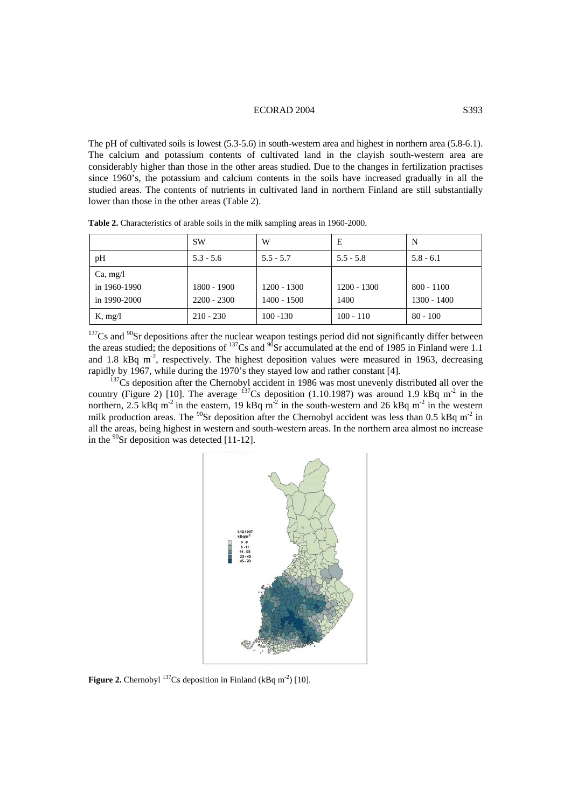## ECORAD 2004 S393

The pH of cultivated soils is lowest (5.3-5.6) in south-western area and highest in northern area (5.8-6.1). The calcium and potassium contents of cultivated land in the clayish south-western area are considerably higher than those in the other areas studied. Due to the changes in fertilization practises since 1960's, the potassium and calcium contents in the soils have increased gradually in all the studied areas. The contents of nutrients in cultivated land in northern Finland are still substantially lower than those in the other areas (Table 2).

|                                          | <b>SW</b>                    | W                              | E                     | N                             |
|------------------------------------------|------------------------------|--------------------------------|-----------------------|-------------------------------|
| pH                                       | $5.3 - 5.6$                  | $5.5 - 5.7$                    | $5.5 - 5.8$           | $5.8 - 6.1$                   |
| Ca, mg/l<br>in 1960-1990<br>in 1990-2000 | 1800 - 1900<br>$2200 - 2300$ | $1200 - 1300$<br>$1400 - 1500$ | $1200 - 1300$<br>1400 | $800 - 1100$<br>$1300 - 1400$ |
| K, mg/l                                  | $210 - 230$                  | $100 - 130$                    | $100 - 110$           | $80 - 100$                    |

**Table 2.** Characteristics of arable soils in the milk sampling areas in 1960-2000.

 $137$ Cs and  $90$ Sr depositions after the nuclear weapon testings period did not significantly differ between the areas studied; the depositions of  $^{137}Cs$  and  $^{90}Sr$  accumulated at the end of 1985 in Finland were 1.1 and 1.8 kBq  $m<sup>2</sup>$ , respectively. The highest deposition values were measured in 1963, decreasing rapidly by 1967, while during the 1970's they stayed low and rather constant [4].<br><sup>137</sup>Cs deposition after the Chernobyl accident in 1986 was most unevenly distributed all over the

country (Figure 2) [10]. The average  $137Cs$  deposition (1.10.1987) was around 1.9 kBq m<sup>-2</sup> in the northern, 2.5 kBq m<sup>-2</sup> in the eastern, 19 kBq m<sup>-2</sup> in the south-western and 26 kBq m<sup>-2</sup> in the western milk production areas. The  $^{90}$ Sr deposition after the Chernobyl accident was less than 0.5 kBq m<sup>-2</sup> in all the areas, being highest in western and south-western areas. In the northern area almost no increase in the  $^{90}$ Sr deposition was detected [11-12].



Figure 2. Chernobyl <sup>137</sup>Cs deposition in Finland (kBq m<sup>-2</sup>) [10].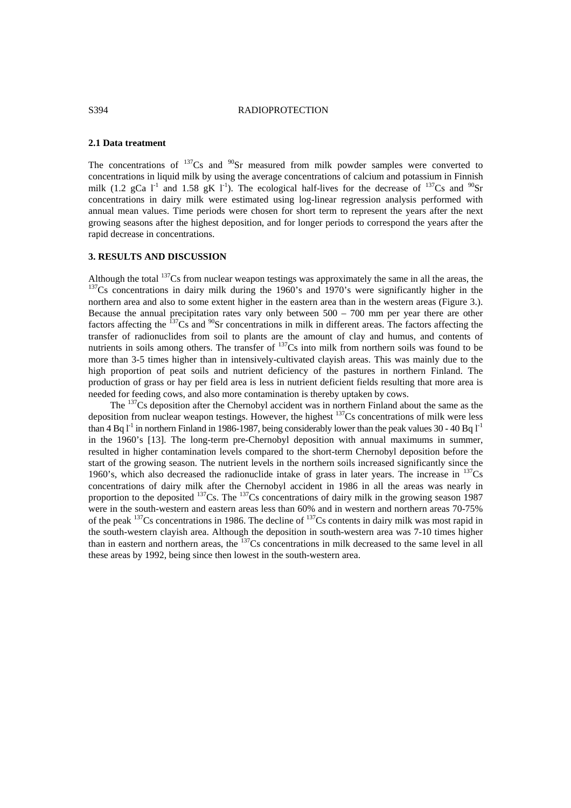## S394 RADIOPROTECTION

## **2.1 Data treatment**

The concentrations of  $137Cs$  and  $90Sr$  measured from milk powder samples were converted to concentrations in liquid milk by using the average concentrations of calcium and potassium in Finnish milk (1.2 gCa  $I^1$  and 1.58 gK  $I^1$ ). The ecological half-lives for the decrease of <sup>137</sup>Cs and <sup>90</sup>Sr concentrations in dairy milk were estimated using log-linear regression analysis performed with annual mean values. Time periods were chosen for short term to represent the years after the next growing seasons after the highest deposition, and for longer periods to correspond the years after the rapid decrease in concentrations.

## **3. RESULTS AND DISCUSSION**

Although the total <sup>137</sup>Cs from nuclear weapon testings was approximately the same in all the areas, the  $137Cs$  concentrations in dairy milk during the 1960's and 1970's were significantly higher in the northern area and also to some extent higher in the eastern area than in the western areas (Figure 3.). Because the annual precipitation rates vary only between 500 – 700 mm per year there are other factors affecting the  $137$ Cs and  $90$ Sr concentrations in milk in different areas. The factors affecting the transfer of radionuclides from soil to plants are the amount of clay and humus, and contents of nutrients in soils among others. The transfer of <sup>137</sup>Cs into milk from northern soils was found to be more than 3-5 times higher than in intensively-cultivated clayish areas. This was mainly due to the high proportion of peat soils and nutrient deficiency of the pastures in northern Finland. The production of grass or hay per field area is less in nutrient deficient fields resulting that more area is needed for feeding cows, and also more contamination is thereby uptaken by cows.

The <sup>137</sup>Cs deposition after the Chernobyl accident was in northern Finland about the same as the deposition from nuclear weapon testings. However, the highest  $137Cs$  concentrations of milk were less than 4 Bq  $I<sup>-1</sup>$  in northern Finland in 1986-1987, being considerably lower than the peak values 30 - 40 Bq  $I<sup>-1</sup>$ in the 1960's [13]. The long-term pre-Chernobyl deposition with annual maximums in summer, resulted in higher contamination levels compared to the short-term Chernobyl deposition before the start of the growing season. The nutrient levels in the northern soils increased significantly since the 1960's, which also decreased the radionuclide intake of grass in later years. The increase in  $^{137}Cs$ concentrations of dairy milk after the Chernobyl accident in 1986 in all the areas was nearly in proportion to the deposited  $137$ Cs. The  $137$ Cs concentrations of dairy milk in the growing season 1987 were in the south-western and eastern areas less than 60% and in western and northern areas 70-75% of the peak 137Cs concentrations in 1986. The decline of 137Cs contents in dairy milk was most rapid in the south-western clayish area. Although the deposition in south-western area was 7-10 times higher than in eastern and northern areas, the  $137Cs$  concentrations in milk decreased to the same level in all these areas by 1992, being since then lowest in the south-western area.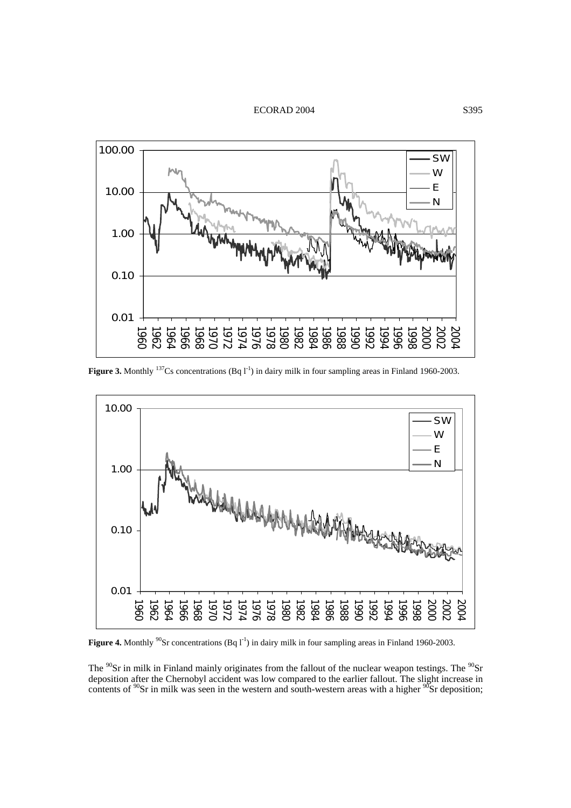ECORAD 2004 S395



**Figure 3.** Monthly <sup>137</sup>Cs concentrations (Bq 1<sup>-1</sup>) in dairy milk in four sampling areas in Finland 1960-2003.



**Figure 4.** Monthly <sup>90</sup>Sr concentrations (Bq l<sup>-1</sup>) in dairy milk in four sampling areas in Finland 1960-2003.

The  $^{90}$ Sr in milk in Finland mainly originates from the fallout of the nuclear weapon testings. The  $^{90}$ Sr deposition after the Chernobyl accident was low compared to the earlier fallout. The slight increase in contents of  $\rm{^{90}Sr}$  in milk was seen in the western and south-western areas with a higher  $\rm{^{90}Sr}$  deposition;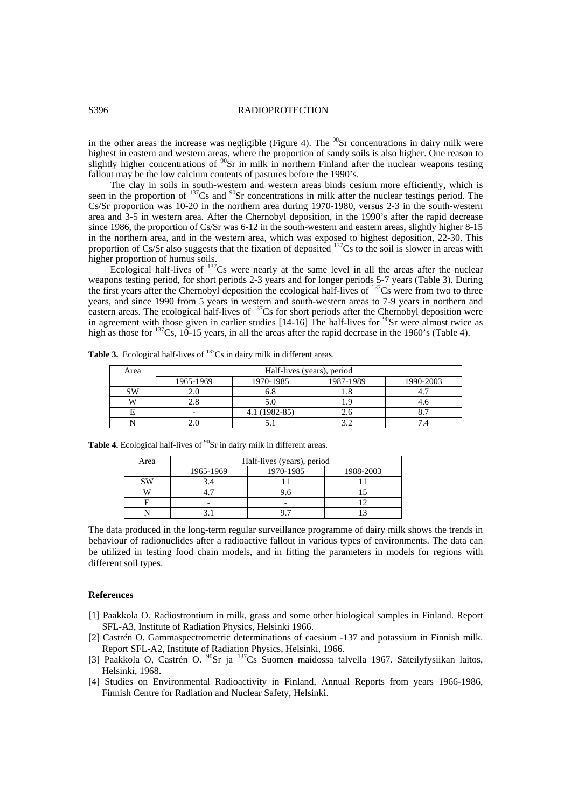## S396 RADIOPROTECTION

in the other areas the increase was negligible (Figure 4). The  $^{90}$ Sr concentrations in dairy milk were highest in eastern and western areas, where the proportion of sandy soils is also higher. One reason to slightly higher concentrations of  $90$ Sr in milk in northern Finland after the nuclear weapons testing fallout may be the low calcium contents of pastures before the 1990's.

The clay in soils in south-western and western areas binds cesium more efficiently, which is seen in the proportion of <sup>137</sup>Cs and <sup>90</sup>Sr concentrations in milk after the nuclear testings period. The Cs/Sr proportion was 10-20 in the northern area during 1970-1980, versus 2-3 in the south-western area and 3-5 in western area. After the Chernobyl deposition, in the 1990's after the rapid decrease since 1986, the proportion of Cs/Sr was 6-12 in the south-western and eastern areas, slightly higher 8-15 in the northern area, and in the western area, which was exposed to highest deposition, 22-30. This proportion of Cs/Sr also suggests that the fixation of deposited <sup>137</sup>Cs to the soil is slower in areas with higher proportion of humus soils.

Ecological half-lives of 137Cs were nearly at the same level in all the areas after the nuclear weapons testing period, for short periods 2-3 years and for longer periods 5-7 years (Table 3). During the first years after the Chernobyl deposition the ecological half-lives of <sup>137</sup>Cs were from two to three years, and since 1990 from 5 years in western and south-western areas to 7-9 years in northern and eastern areas. The ecological half-lives of <sup>137</sup>Cs for short periods after the Chernobyl deposition were in agreement with those given in earlier studies  $[14-16]$  The half-lives for <sup>90</sup>Sr were almost twice as high as those for <sup>137</sup>Cs, 10-15 years, in all the areas after the rapid decrease in the 1960's (Table 4).

| Area | Half-lives (years), period |               |           |           |
|------|----------------------------|---------------|-----------|-----------|
|      | 1965-1969                  | 1970-1985     | 1987-1989 | 1990-2003 |
| SW   |                            | o.ŏ           |           |           |
|      |                            | 5.0           |           |           |
|      |                            | 4.1 (1982-85) | 2.6       |           |
|      |                            |               |           |           |

**Table 3.** Ecological half-lives of <sup>137</sup>Cs in dairy milk in different areas.

| Area  | Half-lives (years), period |           |           |  |
|-------|----------------------------|-----------|-----------|--|
|       | 1965-1969                  | 1970-1985 | 1988-2003 |  |
| C VX. |                            |           |           |  |
|       |                            |           |           |  |
|       | $\overline{\phantom{0}}$   |           |           |  |
|       |                            |           |           |  |

Table 4. Ecological half-lives of <sup>90</sup>Sr in dairy milk in different areas.

The data produced in the long-term regular surveillance programme of dairy milk shows the trends in behaviour of radionuclides after a radioactive fallout in various types of environments. The data can be utilized in testing food chain models, and in fitting the parameters in models for regions with different soil types.

#### **References**

- [1] Paakkola O. Radiostrontium in milk, grass and some other biological samples in Finland. Report SFL-A3, Institute of Radiation Physics, Helsinki 1966.
- [2] Castrén O. Gammaspectrometric determinations of caesium -137 and potassium in Finnish milk. Report SFL-A2, Institute of Radiation Physics, Helsinki, 1966.
- [3] Paakkola O, Castrén O.  $^{90}Sr$  ja  $^{137}Cs$  Suomen maidossa talvella 1967. Säteilyfysiikan laitos, Helsinki, 1968.
- [4] Studies on Environmental Radioactivity in Finland, Annual Reports from years 1966-1986, Finnish Centre for Radiation and Nuclear Safety, Helsinki.